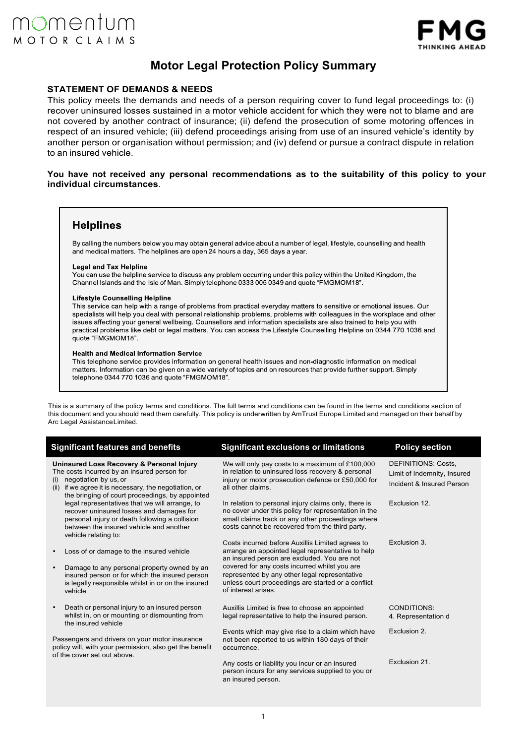

# **Motor Legal Protection Policy Summary**

## **STATEMENT OF DEMANDS & NEEDS**

This policy meets the demands and needs of a person requiring cover to fund legal proceedings to: (i) recover uninsured losses sustained in a motor vehicle accident for which they were not to blame and are not covered by another contract of insurance; (ii) defend the prosecution of some motoring offences in respect of an insured vehicle; (iii) defend proceedings arising from use of an insured vehicle's identity by another person or organisation without permission; and (iv) defend or pursue a contract dispute in relation to an insured vehicle.

## **You have not received any personal recommendations as to the suitability of this policy to your individual circumstances**.

## **Helplines**

By calling the numbers below you may obtain general advice about a number of legal, lifestyle, counselling and health and medical matters. The helplines are open 24 hours a day, 365 days a year.

### **Legal and Tax Helpline**

You can use the helpline service to discuss any problem occurring under this policy within the United Kingdom, the Channel Islands and the Isle of Man. Simply telephone 0333 005 0349 and quote "FMGMOM18".

### Lifestyle Counselling Helpline

This service can help with a range of problems from practical everyday matters to sensitive or emotional issues. Our specialists will help you deal with personal relationship problems, problems with colleagues in the workplace and other issues affecting your general wellbeing. Counsellors and information specialists are also trained to help you with practical problems like debt or legal matters. You can access the Lifestyle Counselling Helpline on 0344 770 1036 and quote "FMGMOM18".

### **Health and Medical Information Service**

This telephone service provides information on general health issues and non-diagnostic information on medical matters. Information can be given on a wide variety of topics and on resources that provide further support. Simply telephone 0344 770 1036 and quote "FMGMOM18".

This is a summary of the policy terms and conditions. The full terms and conditions can be found in the terms and conditions section of this document and you should read them carefully. This policy is underwritten by AmTrust Europe Limited and managed on their behalf by Arc Legal Assistance Limited.

| <b>Significant features and benefits</b>                                                                                                                                                                                                | <b>Significant exclusions or limitations</b>                                                                                                                                                                         | <b>Policy section</b>                                                                  |
|-----------------------------------------------------------------------------------------------------------------------------------------------------------------------------------------------------------------------------------------|----------------------------------------------------------------------------------------------------------------------------------------------------------------------------------------------------------------------|----------------------------------------------------------------------------------------|
| Uninsured Loss Recovery & Personal Injury<br>The costs incurred by an insured person for<br>negotiation by us, or<br>(i)<br>if we agree it is necessary, the negotiation, or<br>(ii)<br>the bringing of court proceedings, by appointed | We will only pay costs to a maximum of £100,000<br>in relation to uninsured loss recovery & personal<br>injury or motor prosecution defence or £50,000 for<br>all other claims.                                      | <b>DEFINITIONS: Costs.</b><br>Limit of Indemnity, Insured<br>Incident & Insured Person |
| legal representatives that we will arrange, to<br>recover uninsured losses and damages for<br>personal injury or death following a collision<br>between the insured vehicle and another<br>vehicle relating to:                         | In relation to personal injury claims only, there is<br>no cover under this policy for representation in the<br>small claims track or any other proceedings where<br>costs cannot be recovered from the third party. | Exclusion 12.                                                                          |
| Loss of or damage to the insured vehicle                                                                                                                                                                                                | Costs incurred before Auxillis Limited agrees to<br>arrange an appointed legal representative to help<br>an insured person are excluded. You are not                                                                 | Exclusion 3.                                                                           |
| Damage to any personal property owned by an<br>insured person or for which the insured person<br>is legally responsible whilst in or on the insured<br>vehicle                                                                          | covered for any costs incurred whilst you are<br>represented by any other legal representative<br>unless court proceedings are started or a conflict<br>of interest arises.                                          |                                                                                        |
| Death or personal injury to an insured person<br>whilst in, on or mounting or dismounting from<br>the insured vehicle                                                                                                                   | Auxillis Limited is free to choose an appointed<br>legal representative to help the insured person.                                                                                                                  | CONDITIONS:<br>4. Representation d                                                     |
| Passengers and drivers on your motor insurance<br>policy will, with your permission, also get the benefit<br>of the cover set out above.                                                                                                | Events which may give rise to a claim which have<br>not been reported to us within 180 days of their<br>occurrence.                                                                                                  | Exclusion 2.                                                                           |
|                                                                                                                                                                                                                                         | Any costs or liability you incur or an insured<br>person incurs for any services supplied to you or<br>an insured person.                                                                                            | Exclusion 21.                                                                          |
|                                                                                                                                                                                                                                         |                                                                                                                                                                                                                      |                                                                                        |